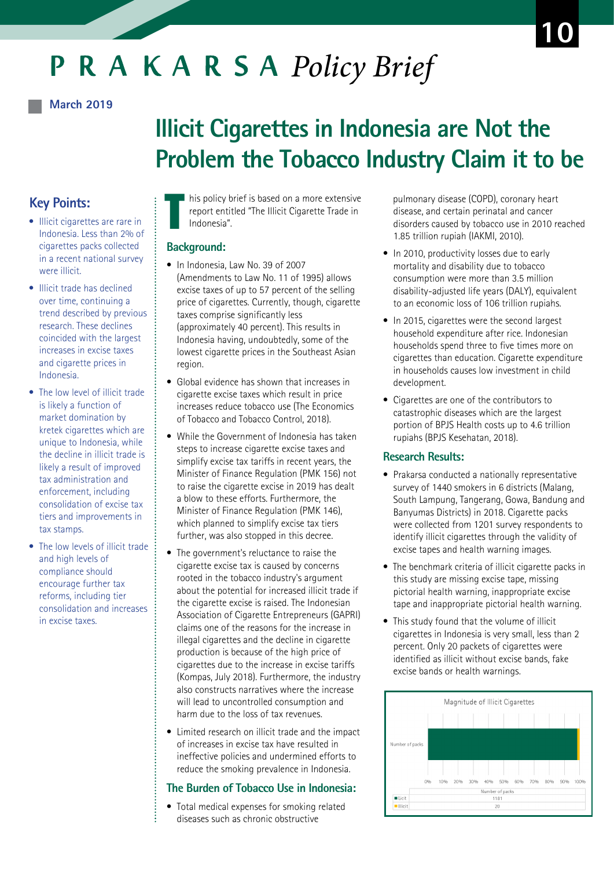# PRAKARSA Policy Brief

#### **March 2019**

## **Illicit Cigarettes in Indonesia are Not the Problem the Tobacco Industry Claim it to be**

## **Key Points:**

- Illicit cigarettes are rare in Indonesia. Less than 2% of cigarettes packs collected in a recent national survey were illicit.
- $\bullet$  Illicit trade has declined over time, continuing a trend described by previous research. These declines coincided with the largest increases in excise taxes and cigarette prices in Indonesia.
- The low level of illicit trade is likely a function of market domination by kretek cigarettes which are unique to Indonesia, while the decline in illicit trade is likely a result of improved tax administration and enforcement, including consolidation of excise tax tiers and improvements in tax stamps.
- The low levels of illicit trade and high levels of compliance should encourage further tax reforms, including tier consolidation and increases in excise taxes.

T his policy brief is based on a more extensive report entitled "The Illicit Cigarette Trade in Indonesia".

#### **Background:**

- In Indonesia, Law No. 39 of 2007 (Amendments to Law No. 11 of 1995) allows excise taxes of up to 57 percent of the selling price of cigarettes. Currently, though, cigarette taxes comprise significantly less (approximately 40 percent). This results in Indonesia having, undoubtedly, some of the lowest cigarette prices in the Southeast Asian region.
- Global evidence has shown that increases in cigarette excise taxes which result in price increases reduce tobacco use (The Economics of Tobacco and Tobacco Control, 2018).
- While the Government of Indonesia has taken steps to increase cigarette excise taxes and simplify excise tax tariffs in recent years, the Minister of Finance Regulation (PMK 156) not to raise the cigarette excise in 2019 has dealt a blow to these efforts. Furthermore, the Minister of Finance Regulation (PMK 146), which planned to simplify excise tax tiers further, was also stopped in this decree.
- The government's reluctance to raise the cigarette excise tax is caused by concerns rooted in the tobacco industry's argument about the potential for increased illicit trade if the cigarette excise is raised. The Indonesian Association of Cigarette Entrepreneurs (GAPRI) claims one of the reasons for the increase in illegal cigarettes and the decline in cigarette production is because of the high price of cigarettes due to the increase in excise tariffs (Kompas, July 2018). Furthermore, the industry also constructs narratives where the increase will lead to uncontrolled consumption and harm due to the loss of tax revenues.
- Limited research on illicit trade and the impact of increases in excise tax have resulted in ineffective policies and undermined efforts to reduce the smoking prevalence in Indonesia.

#### **The Burden of Tobacco Use in Indonesia:**

• Total medical expenses for smoking related diseases such as chronic obstructive

 pulmonary disease (COPD), coronary heart disease, and certain perinatal and cancer disorders caused by tobacco use in 2010 reached 1.85 trillion rupiah (IAKMI, 2010).

- In 2010, productivity losses due to early mortality and disability due to tobacco consumption were more than 3.5 million disability-adjusted life years (DALY), equivalent to an economic loss of 106 trillion rupiahs.
- In 2015, cigarettes were the second largest household expenditure after rice. Indonesian households spend three to five times more on cigarettes than education. Cigarette expenditure in households causes low investment in child development.
- Cigarettes are one of the contributors to catastrophic diseases which are the largest portion of BPJS Health costs up to 4.6 trillion rupiahs (BPJS Kesehatan, 2018).

#### **Research Results:**

- Prakarsa conducted a nationally representative survey of 1440 smokers in 6 districts (Malang, South Lampung, Tangerang, Gowa, Bandung and Banyumas Districts) in 2018. Cigarette packs were collected from 1201 survey respondents to identify illicit cigarettes through the validity of excise tapes and health warning images.
- The benchmark criteria of illicit cigarette packs in this study are missing excise tape, missing pictorial health warning, inappropriate excise tape and inappropriate pictorial health warning.
- This study found that the volume of illicit cigarettes in Indonesia is very small, less than 2 percent. Only 20 packets of cigarettes were identified as illicit without excise bands, fake excise bands or health warnings.